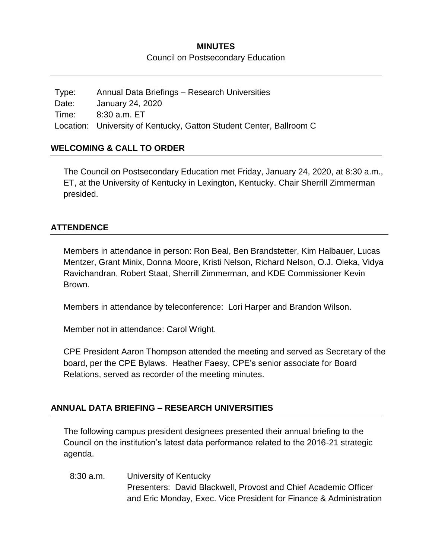# **MINUTES** Council on Postsecondary Education

Type: Annual Data Briefings – Research Universities Date: January 24, 2020 Time: 8:30 a.m. ET Location: University of Kentucky, Gatton Student Center, Ballroom C

## **WELCOMING & CALL TO ORDER**

The Council on Postsecondary Education met Friday, January 24, 2020, at 8:30 a.m., ET, at the University of Kentucky in Lexington, Kentucky. Chair Sherrill Zimmerman presided.

#### **ATTENDENCE**

Members in attendance in person: Ron Beal, Ben Brandstetter, Kim Halbauer, Lucas Mentzer, Grant Minix, Donna Moore, Kristi Nelson, Richard Nelson, O.J. Oleka, Vidya Ravichandran, Robert Staat, Sherrill Zimmerman, and KDE Commissioner Kevin Brown.

Members in attendance by teleconference: Lori Harper and Brandon Wilson.

Member not in attendance: Carol Wright.

CPE President Aaron Thompson attended the meeting and served as Secretary of the board, per the CPE Bylaws. Heather Faesy, CPE's senior associate for Board Relations, served as recorder of the meeting minutes.

#### **ANNUAL DATA BRIEFING – RESEARCH UNIVERSITIES**

The following campus president designees presented their annual briefing to the Council on the institution's latest data performance related to the 2016-21 strategic agenda.

8:30 a.m. University of Kentucky Presenters: David Blackwell, Provost and Chief Academic Officer and Eric Monday, Exec. Vice President for Finance & Administration